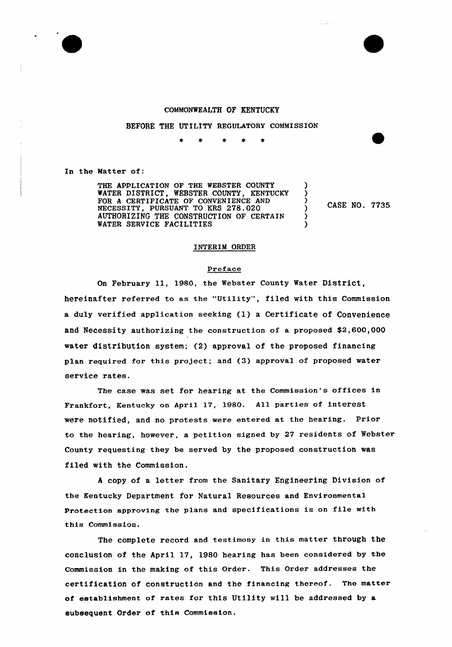

### COMMONWEALTH OF KENTUCKY

### BEFORE THE UTILITY REGULATORY COMMISSION

In the Matter of:

THE APPLICATION OF THE WEBSTER COUNTY WATER DISTRICT, WEBSTER COUNTY, KENTUCKY FOR A CERTIFICATE OF CONVENIENCE AND NECESSITY, PURSUANT TO KRS 278.020 AUTHORIZING THE CONSTRUCTION OF CERTAIN WATER SERVICE FACILITIES

CASE NO. 7735

) ) ) )

) )

## INTERIM ORDER

#### Preface

On February ll, 1980, the Webster County Water District, hereinafter referred to as the "Utility', filed with this Commission a duly verified application seeking (1) <sup>a</sup> Certificate of Convenience and Necessity authorizing the construction of a proposed \$2,600,000 water distribution system; (2) approval of the proposed financing plan required for this project; and (3) approval of proposed water service rates.

The case was set for hearing at the Commission's offices in Frankfort, Kentucky on April 17, 1980. All parties of interest were notified, and no protests were entered at the hearing. Prior to the hearing, however, a petition signed by 27 residents of Webster County requesting they be served by the proposed construction was filed with the Commission.

<sup>A</sup> copy of a letter from the Sanitary Engineering Division of the Kentucky Department for Natural Resources and Environmental Protection approving the plans and specifications is on file with this Commission.

The complete record and testimony in this matter through the conclusion of the April 17, lg80 hearing has been considered by the Commission in the making of this Order. This Order addresses the certification of construction and the financing thereof. The matter of establishment of rates for this Utility will be addressed by a subsequent Order of this Commission.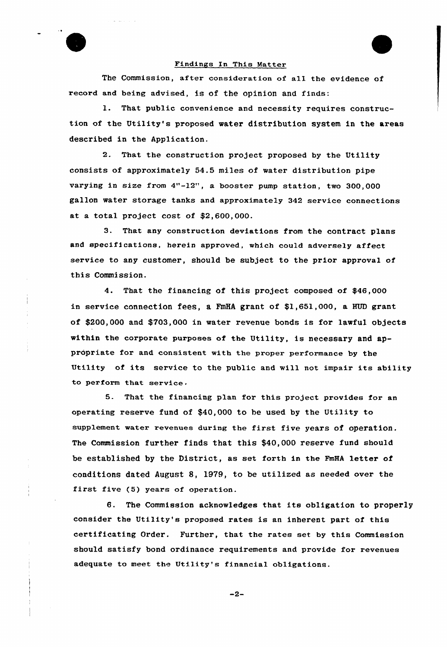

### Findings In This Matter

The Commission, after consideration of all the evidence of record and being advised, is of the opinion and finds:

1. That public convenience and necessity requires construction of the Utility's proposed water distribution system in the areas described in the Application.

2. That the construction project proposed by the Utility consists of approximately 54.5 miles of water distribution pipe varying in size from  $4"$ -12", a booster pump station, two 300,000 gallon water storage tanks and approximately 342 service connections at a total project cost of \$2,600,000.

3. That any construction deviations from the contract plans and specifications, herein approved, which could advexsely affect service to any customer, should be subject to the prior approval of this Commission.

4. That the financing of this project composed of \$46,000 in service connection fees, a FmHA grant of  $$1,651,000$ , a HUD grant of \$200,000 and \$703,000 in water revenue bonds is for lawful objects within the corporate purposes of the Utility, is necessary and appropriate for and consistent with the proper performance by the Utility of its service to the public and will not impair its ability to perform that service.

5. That the financing plan for this project provides for an operating reserve fund of \$40,000 to be used by the Utility to supplement water revenues during the first five years of operation. The Commission further finds that this \$40,000 reserve fund should be established by the District, as set forth in the FmHA letter of conditions dated August 8, 1979, to be utilized as needed over the first five (5) years of operation.

6. The Commission acknowledges that its obligation to properly consider the Utility's proposed rates is an inherent part of this certificating Order. Further, that the rates set by this Commission should satisfy bond ordinance requirements and provide for revenues adequate to meet the Utility's financial obligations.

 $-2-$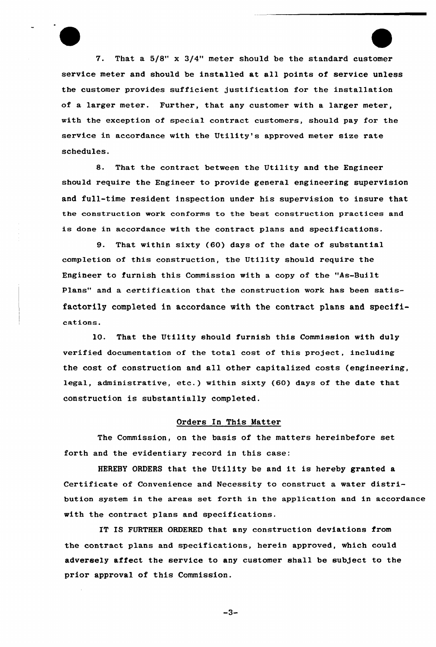V. That a 5/8" x 3/4" meter should be the standard customer service meter and should be installed at all points of service unless the customer provides sufficient justification for the installation of a larger meter. Further, that any customer with a larger meter, with the exception of special contract customers, should pay for the service in accordance with the Utility's approved meter size rate schedules.

8. That the contract between the Utility and the Engineer should require the Engineer to provide general engineering supervision and full-time resident inspection under his supervision to insure that the construction work conforms to the best construction Practices and is done in accordance with the contract plans and specifications.

9. That within sixty (60} days of the date of substantial completion of this construction, the Utility should require the Engineer to furnish this Commission with a copy of the "As-Built Plans" and a certification that the construction work has been satisfactorily completed in accordance with the contract plans and specificat ions .

10. That the Utility should furnish this Commission with duly verified documentation of the total cost of this project, including the cost of construction and all other capitalized costs (engineering, legal, administrative, etc.) within sixty (60) days of the date that construction is substantially completed.

# Orders In This Matter

The Commission, on the basis of the matters hereinbefore set forth and the evidentiary record in this case:

HEREBY ORDERS that the Utility be and it is hereby granted <sup>a</sup> Certificate of Convenience and Necessity to construct a water distribution system in the areas set forth in the application and in accordance with the contract plans and specifications.

IT IS FURTHER ORDERED that any construction deviations from the contract plans and specifications, herein approved, which could adversely affect the service to any customer shall be subject to the prior approval of this Commission.

 $-3-$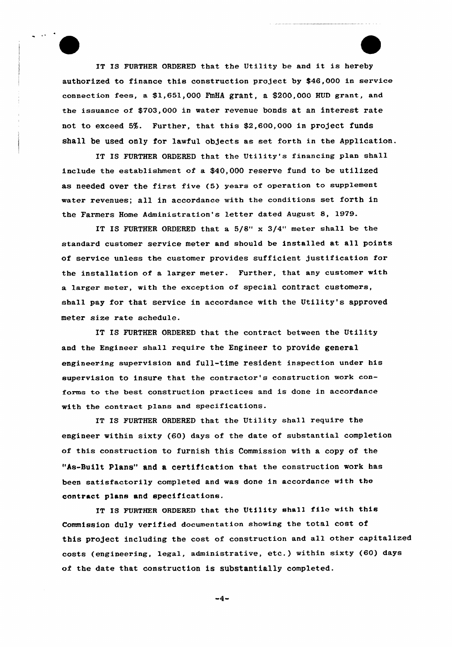IT IS FURTHER ORDERED that the Utility be and it is hereby authorized to finance this construction project by \$46,000 in service connection fees, a \$1,651,000 FmHA grant, a \$200,000 HUD grant, and the issuance of \$703,000 in water revenue bonds at an interest rate not to exceed 5%. Further, that this \$2,600,000 in project funds shall be used only for lawful objects as set forth in the Application.

IT IS FURTHER ORDERED that the Utility's financing plan shall include the establishment of a \$40,000 reserve fund to be utilized as needed over the first five (5) years of operation to supplement water revenues; all in accordance with the conditions set forth in the Farmers Home Administration's letter dated August 8, 1979.

IT IS FURTHER ORDERED that a 5/8" x 3/4" meter shall be the standard customer service meter and should be installed at all points of service unless the customer provides sufficient justification for the installation of a larger meter. Further, that any customer with a 1arger meter, with the exception of special contract customers, shall pay for that service in accordance with the Utility's approved meter size rate schedule.

IT IS FURTHER ORDERED that the contract between the Utility and the Engineer sha11 require the Engineer to provide general engineering supervision and full-time resident inspection under his supervision to insure that the contractor's construction work conforns to the best construction practices and is done in accordance with the contract plans and specifications.

IT IS FURTHER ORDERED that the Utility shall require the engineer within sixty (60) days of the date of substantial completion of this construction to furnish this Commission with a copy of the "As-Built Plans" and a certification that the construction work has been satisfactorily completed and was done in accordance with the contract plans and specifications.

IT IS FURTHER ORDERED that the Utility shall file with this Commission duly verified documentation showing the total cost of this project including the cost of construction and al1 other capitalized costs (engineering, legal, administrative, ete.) within sixty (60) days of the date that construction is substantially completed.

 $-4-$